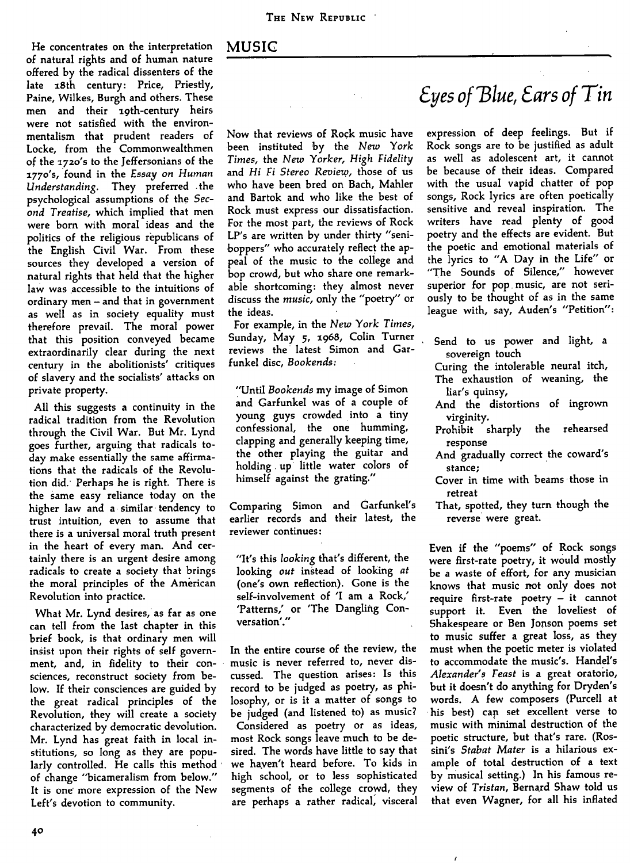## MUSIC

He concentrates on the interpretation of natural rights and of human nature offered by the radical dissenters of the late i8th century: Price, Priestly, Paine, Wilkes, Burgh and others. These men and their 19th-century heirs were not satisfied with the environmentalism that prudent readers of Locke, from the Commonwealthmen of the 1720's to the Jeffersonians of the a77o's, found in the *Essay on Human Understanding.* They preferred the psychological assumptions of the *Second Treatise,* which implied that men were born with moral ideas and the politics of the religious republicans of the English Civil War. From these sources they developed a version of natural rights that held that the higher law was accessible to the intuitions of ordinary men  $-$  and that in government as well as in society equality must therefore prevail. The moral power that this position conveyed became extraordinarily clear during the next century in the abolitionists' critiques of slavery and the socialists' attacks on private property.

All this suggests a continuity in the radical tradition from the Revolution through the Civil War. But Mr. Lynd goes further, arguing that radicals today make essentially the same affirmations that the radicals of the Revolution did.' Perhaps he is right. There is the same easy reliance today on the higher law and a similar tendency to trust intuition, even to assume that there is a universal moral truth present in the heart of every man. And certainly there is an urgent desire among radicals to create a society that brings the moral principles of the American Revolution into practice.

What Mr. Lynd desires, as far as one can tell from the last chapter in this brief book, is that ordinary men will insist upon their rights of self government, and, in fidelity to their consciences, reconstruct society from below. If their consciences are guided by the great radical principles of the Revolution, they will create a society characterized by democratic devolution. Mr. Lynd has great faith in local institutions, so long as they are popularly controlled. He calls this method of change "bicameralism from below." It is one' more expression of the New Left's devotion to community.

Now that reviews of Rock music have been instituted by the New *York Times,* the *New Yorker, High Fidelity* and *Hi Fi Stereo Review,* those of us who have been bred on Bach, Mahler and Bartok and who like the best of Rock must express our dissatisfaction. For the most part, the reviews of Rock LP's are written by under thirty "seniboppers" who accurately reflect the appeal of the music to the college and bop crowd, but who share one remarkable shortcoming: they almost never discuss the *music,* only the "poetry" or the ideas.

For example, in the *New York Times,* Sunday, May 5, 1968, Colin Turner reviews the latest Simon and Garfunkel disc, *Bookends:*

"Until *Bookends* my image of Simon and Garfunkel was of a couple of young guys crowded into a tiny confessional, the one humming, clapping and generally keeping time, the other playing the guitar and holding up little water colors of himself against the grating."

Comparing Simon and Garfunkel's earlier records and their latest, the reviewer continues:

"It's this *looking* that's different, the looking *out* instead of looking *at* (one's own reflection). Gone is the self-involvement of 'I am a Rock/ 'Patterns,' or 'The Dangling Conversation'."

In the entire course of the review, the music is never referred to, never discussed. The question arises: Is this record to be judged as poetry, as philosophy, or is it a matter of songs to be judged (and listened to) as music?

Considered as poetry or as ideas, most Rock songs leave much to be desired. The words have little to say that we haven't heard before. To kids in high school, or to less sophisticated segments of the college crowd, they are perhaps a rather radical, visceral

## *8yes of'Blue, Cars of Tin*

expression of deep feelings. But if Rock songs are to be justified as adult as well as adolescent art, it cannot be because of their ideas. Compared with the usual vapid chatter of pop songs. Rock lyrics are often poetically sensitive and reveal inspiration. The writers have read plenty of good poetry and the effects are evident. But the poetic and emotional materials of the lyrics to "A Day in the Life" or "The Sounds of Silence," however superior for pop music, are not seriously to be thought of as in the same league with, say, Auden's "Petition":

- Send to us power and light, a sovereign touch
- Curing the intolerable neural itch. The exhaustion of weaning, the liar's quinsy.
- And the distortions of ingrown virginity.
- Prohibit sharply the rehearsed response
- And gradually correct the coward's stance;
- Cover in time with beams those in retreat
- That, spotted, they turn though the reverse were great.

Even if the "poems" of Rock songs were first-rate poetry, it would mostly be a waste of effort, for any musician knows that music not only does not require first-rate poetry - it cannot support it. Even the loveliest of Shakespeare or Ben Jonson poems set to music suffer a great loss, as they must when the poetic meter is violated to accommodate the music's. Handel's *Alexander's Feast* is a great oratorio, but it doesn't do anything for Dryden's words. A few composers (Purcell at his best) can set excellent verse to music with minimal destruction of the poetic structure, but that's rare. (Rossini's *Stabat Mater* is a hilarious example of total destruction of a text by musical setting.) In his famous review of *Tristan,* Bernard Shaw told us that even Wagner, for all his inflated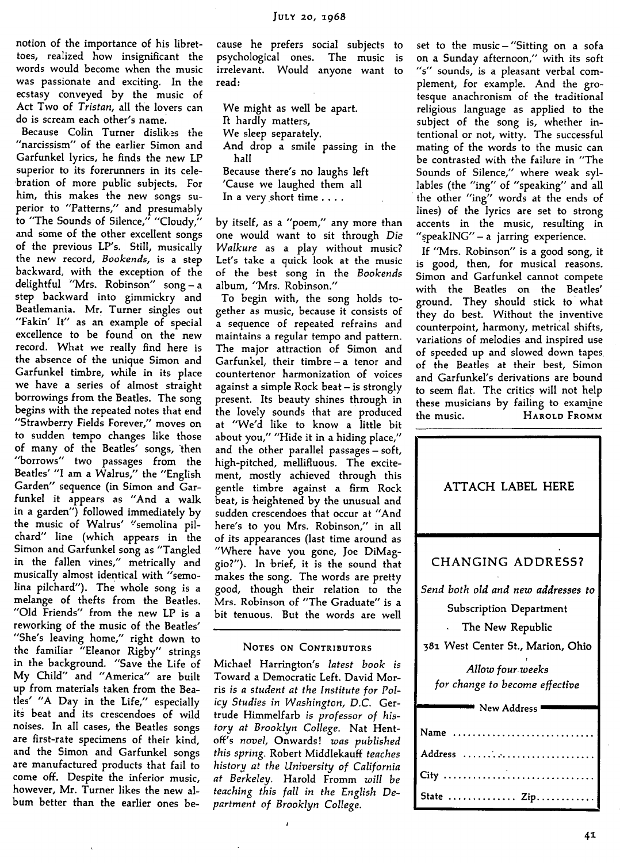notion of the importance of his librettoes, realized how insignificant the words would become when the music was passionate and exciting. In the ecstasy conveyed by the music of Act Two of *Tristan,* all the lovers can do is scream each other's name.

Because Colin Turner dislikes the "narcissism" of the earlier Simon and Garfunkel lyrics, he finds the new LP superior to its forerunners in its celebration of more public subjects. For him, this makes the new songs superior to "Patterns," and presumably to "The Sounds of Silence," "Cloudy," and some of the other excellent songs of the previous LP's. Still, musically the new record, *Bookends,* is a step backward, with the exception of the delightful "Mrs. Robinson" song-a step backward into gimmickry and Beatlemania. Mr. Turner singles out "Fakin' It" as an example of special excellence to be found on the new record. What we really find here is the absence of the unique Simon and Garfunkel timbre, while in its place we have a series of almost straight borrowings from the Beatles. The song begins with the repeated notes that end "Strawberry Fields Forever/' moves on to sudden tempo changes like those of many of the Beatles' songs, then "borrows" two passages from the Beatles' "I am a Walrus/' the "English Garden" sequence (in Simon and Garfunkel it appears as "And a walk in a garden") followed immediately by the music of Walrus' "semolina pilchard" line (which appears in the Simon and Garfunkel song as "Tangled in the fallen vines," metrically and m the failed vines, metrically and musically almost identical with "semolina pilchard"). The whole song is a melange of thefts from the Beatles. "Old Friends" from the new LP is a<br>reworking of the music of the Beatles' reworking or the music or the beatles. one's leaving nome," right down to the ramiliar Lieanor Rigby strings in the background. "Save the Life of My Child" and "America" are built up from materials taken from the Beatles' "A Day in the Life," especially its beat and its crescendoes of wild noises. In all cases, the Beatles songs are first-rate specimens of their kind, and the Simon and Garfunkel songs are manufactured products that fail to come off. Despite the inferior music, however, Mr. Turner likes the new al-<br>bum better than the earlier ones because he prefers social subjects to psychological ones. The music is irrelevant. Would anyone want to read:

We might as well be apart. Ft hardly matters. We sleep separately. And drop a smile passing in the hall Because there's no laughs left 'Cause we laughed them all In a very short time ... .

by itself, as a "poem," any more than one would want to sit through *Die Walkure* as a play without music? Let's take a quick look at the music of the best song in the *Bookends* album, "Mrs. Robinson."

To begin with, the song holds together as music, because it consists of a sequence of repeated refrains and maintains a regular tempo and pattern. The major attraction of Simon and Garfunkel, their timbre - a tenor and countertenor harmonization of voices against a simple Rock beat - is strongly present. Its beauty shines through in the lovely sounds that are produced at "We'd like to know a little bit about you," "Hide it in a hiding place," and the other parallel passages — soft, high-pitched, mellifluous. The excitement, mostly achieved through this gentle timbre against a firm Rock beat, is heightened by the unusual and sudden crescendoes that occur at "And here's to you Mrs. Robinson," in all of its appearances (last time around as "Where have you gone, Joe DiMaggio?"). In brief, it is the sound that makes the song. The words are pretty good, though their relation to the Mrs. Robinson of "The Graduate" is a bit tenuous. But the words are well

## NOTES ON CONTRIBUTORS

Michael Harrington's *latest book is* Toward a Democratic Left. David Morris is a student at the Institute for Pol*icy Studies in Washington, D.C.* Gertrude Himmelfarb is *professor of history at Brooklyn College.* Nat Hentoff's *novel.* Onwards! *was published this spring.* Robert Middlekauff *teaches history at the University of California at Berkeley.* Harold Fromm *will be teaching this fall in the English Department of Brooklyn College.*

set to the music  $-$  "Sitting on a sofa on a Sunday afternoon/' with its soft "s" sounds, is a pleasant verbal complement, for example. And the grotesque anachronism of the traditional religious language as applied to the subject of the song is, whether intentional or not, witty. The successful mating of the words to the music can be contrasted with the failure in "The Sounds of Silence," where weak syllables (the "ing" of "speaking" and all the other "ing" words at the ends of lines) of the lyrics are set to strong accents in the music, resulting in "speakING" - a jarring experience.

If "Mrs. Robinson" is a good song, it is good, then, for musical reasons. Simon and Garfunkel cannot compete with the Beatles on the Beatles' ground. They should stick to what they do best. Without the inventive counterpoint, harmony, metrical shifts, variations of melodies and inspired use of speeded up and slowed down tapes of the Beatles at their best, Simon and Garfunkel's derivations are bound to seem flat. The critics will not help these musicians by failing to examine the music. HAROLD FROMM

| ATTACH LABEL HERE                                                                                                             |
|-------------------------------------------------------------------------------------------------------------------------------|
| <b>CHANGING ADDRESS?</b>                                                                                                      |
| Send both old and new addresses to<br><b>Subscription Department</b><br>The New Republic<br>381 West Center St., Marion, Ohio |
| Allow four weeks<br>for change to become effective                                                                            |
| New Address                                                                                                                   |
| .<br>Name                                                                                                                     |
| Address                                                                                                                       |
| City                                                                                                                          |
| State  Zip.                                                                                                                   |